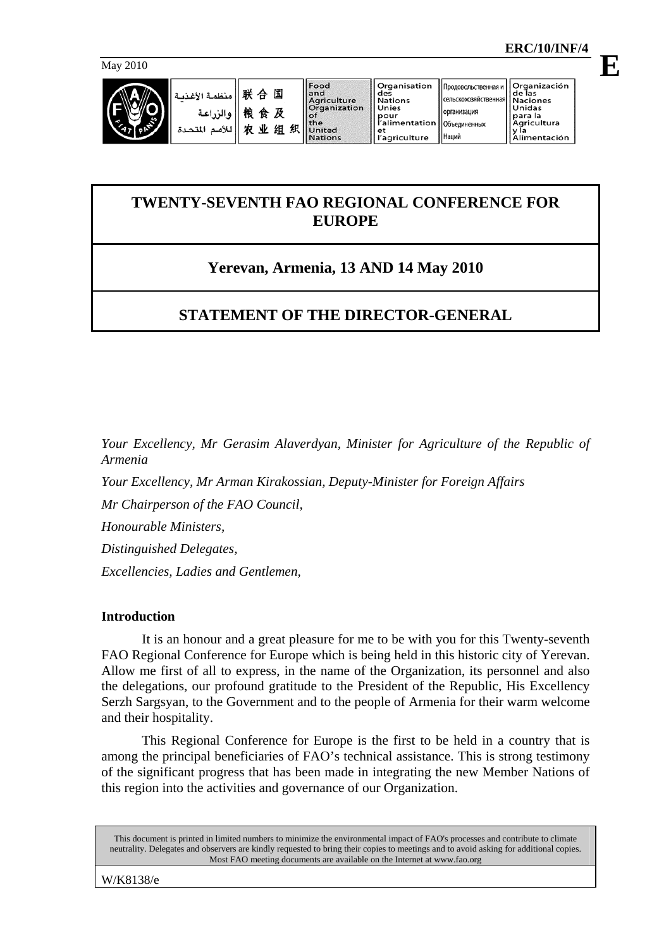

أغذر

| ا منظمة ا ) - 联 合 国                                |
|----------------------------------------------------|
| والزراعة   <br>4    للأمم الم   <br>4    للأمم الم |
|                                                    |

Food and<br>Agriculture<br>Organization  $\circ$ f  $tha$ 织 United **Nations** 

Organisation<br>des<br>Nations<br>Unies pour<br>l'alimentation ra<br>l'agriculture

Наций

## **TWENTY-SEVENTH FAO REGIONAL CONFERENCE FOR EUROPE**

# **Yerevan, Armenia, 13 AND 14 May 2010**

# **STATEMENT OF THE DIRECTOR-GENERAL**

*Your Excellency, Mr Gerasim Alaverdyan, Minister for Agriculture of the Republic of Armenia* 

*Your Excellency, Mr Arman Kirakossian, Deputy-Minister for Foreign Affairs* 

*Mr Chairperson of the FAO Council,* 

*Honourable Ministers,* 

*Distinguished Delegates,* 

*Excellencies, Ladies and Gentlemen,*

### **Introduction**

 It is an honour and a great pleasure for me to be with you for this Twenty-seventh FAO Regional Conference for Europe which is being held in this historic city of Yerevan. Allow me first of all to express, in the name of the Organization, its personnel and also the delegations, our profound gratitude to the President of the Republic, His Excellency Serzh Sargsyan, to the Government and to the people of Armenia for their warm welcome and their hospitality.

 This Regional Conference for Europe is the first to be held in a country that is among the principal beneficiaries of FAO's technical assistance. This is strong testimony of the significant progress that has been made in integrating the new Member Nations of this region into the activities and governance of our Organization.

This document is printed in limited numbers to minimize the environmental impact of FAO's processes and contribute to climate neutrality. Delegates and observers are kindly requested to bring their copies to meetings and to avoid asking for additional copies. Most FAO meeting documents are available on the Internet at www.fao.org

W/K8138/e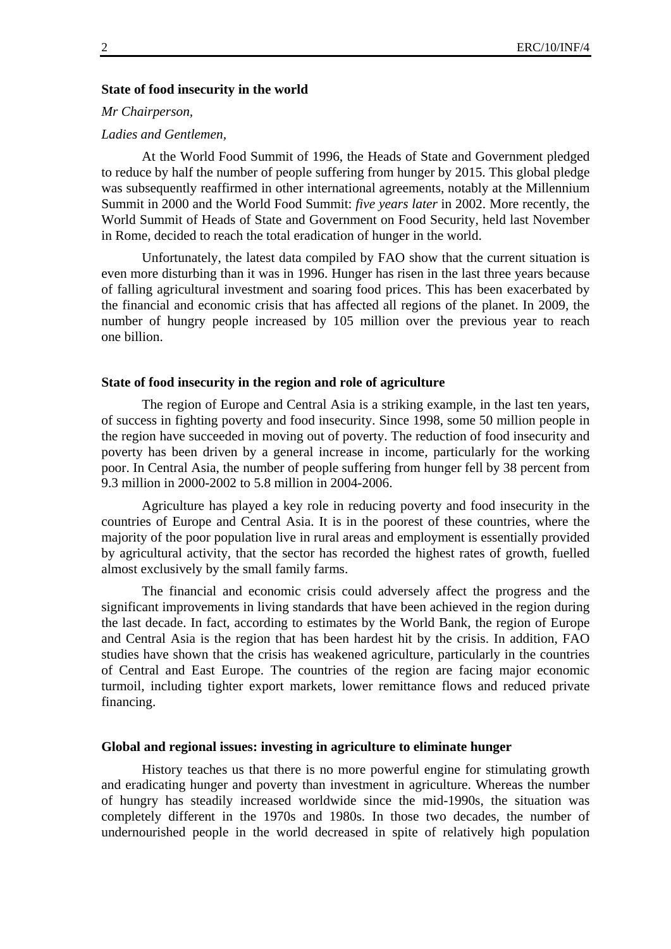#### **State of food insecurity in the world**

#### *Mr Chairperson,*

#### *Ladies and Gentlemen,*

 At the World Food Summit of 1996, the Heads of State and Government pledged to reduce by half the number of people suffering from hunger by 2015. This global pledge was subsequently reaffirmed in other international agreements, notably at the Millennium Summit in 2000 and the World Food Summit: *five years later* in 2002. More recently, the World Summit of Heads of State and Government on Food Security, held last November in Rome, decided to reach the total eradication of hunger in the world.

 Unfortunately, the latest data compiled by FAO show that the current situation is even more disturbing than it was in 1996. Hunger has risen in the last three years because of falling agricultural investment and soaring food prices. This has been exacerbated by the financial and economic crisis that has affected all regions of the planet. In 2009, the number of hungry people increased by 105 million over the previous year to reach one billion.

#### **State of food insecurity in the region and role of agriculture**

 The region of Europe and Central Asia is a striking example, in the last ten years, of success in fighting poverty and food insecurity. Since 1998, some 50 million people in the region have succeeded in moving out of poverty. The reduction of food insecurity and poverty has been driven by a general increase in income, particularly for the working poor. In Central Asia, the number of people suffering from hunger fell by 38 percent from 9.3 million in 2000-2002 to 5.8 million in 2004-2006.

 Agriculture has played a key role in reducing poverty and food insecurity in the countries of Europe and Central Asia. It is in the poorest of these countries, where the majority of the poor population live in rural areas and employment is essentially provided by agricultural activity, that the sector has recorded the highest rates of growth, fuelled almost exclusively by the small family farms.

 The financial and economic crisis could adversely affect the progress and the significant improvements in living standards that have been achieved in the region during the last decade. In fact, according to estimates by the World Bank, the region of Europe and Central Asia is the region that has been hardest hit by the crisis. In addition, FAO studies have shown that the crisis has weakened agriculture, particularly in the countries of Central and East Europe. The countries of the region are facing major economic turmoil, including tighter export markets, lower remittance flows and reduced private financing.

#### **Global and regional issues: investing in agriculture to eliminate hunger**

 History teaches us that there is no more powerful engine for stimulating growth and eradicating hunger and poverty than investment in agriculture. Whereas the number of hungry has steadily increased worldwide since the mid-1990s, the situation was completely different in the 1970s and 1980s. In those two decades, the number of undernourished people in the world decreased in spite of relatively high population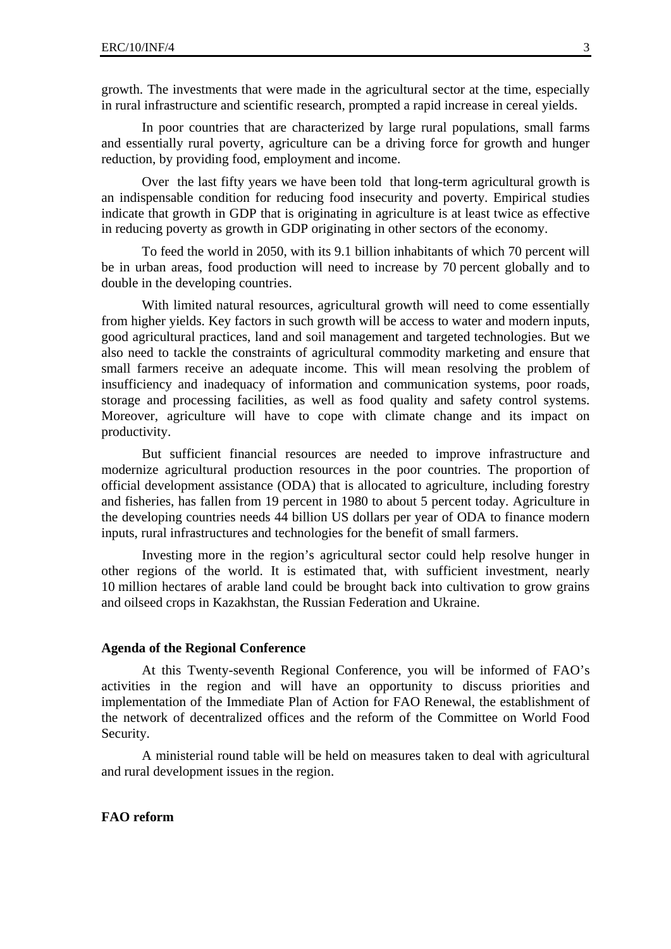growth. The investments that were made in the agricultural sector at the time, especially in rural infrastructure and scientific research, prompted a rapid increase in cereal yields.

 In poor countries that are characterized by large rural populations, small farms and essentially rural poverty, agriculture can be a driving force for growth and hunger reduction, by providing food, employment and income.

 Over the last fifty years we have been told that long-term agricultural growth is an indispensable condition for reducing food insecurity and poverty. Empirical studies indicate that growth in GDP that is originating in agriculture is at least twice as effective in reducing poverty as growth in GDP originating in other sectors of the economy.

 To feed the world in 2050, with its 9.1 billion inhabitants of which 70 percent will be in urban areas, food production will need to increase by 70 percent globally and to double in the developing countries.

With limited natural resources, agricultural growth will need to come essentially from higher yields. Key factors in such growth will be access to water and modern inputs, good agricultural practices, land and soil management and targeted technologies. But we also need to tackle the constraints of agricultural commodity marketing and ensure that small farmers receive an adequate income. This will mean resolving the problem of insufficiency and inadequacy of information and communication systems, poor roads, storage and processing facilities, as well as food quality and safety control systems. Moreover, agriculture will have to cope with climate change and its impact on productivity.

 But sufficient financial resources are needed to improve infrastructure and modernize agricultural production resources in the poor countries. The proportion of official development assistance (ODA) that is allocated to agriculture, including forestry and fisheries, has fallen from 19 percent in 1980 to about 5 percent today. Agriculture in the developing countries needs 44 billion US dollars per year of ODA to finance modern inputs, rural infrastructures and technologies for the benefit of small farmers.

 Investing more in the region's agricultural sector could help resolve hunger in other regions of the world. It is estimated that, with sufficient investment, nearly 10 million hectares of arable land could be brought back into cultivation to grow grains and oilseed crops in Kazakhstan, the Russian Federation and Ukraine.

#### **Agenda of the Regional Conference**

 At this Twenty-seventh Regional Conference, you will be informed of FAO's activities in the region and will have an opportunity to discuss priorities and implementation of the Immediate Plan of Action for FAO Renewal, the establishment of the network of decentralized offices and the reform of the Committee on World Food Security.

 A ministerial round table will be held on measures taken to deal with agricultural and rural development issues in the region.

### **FAO reform**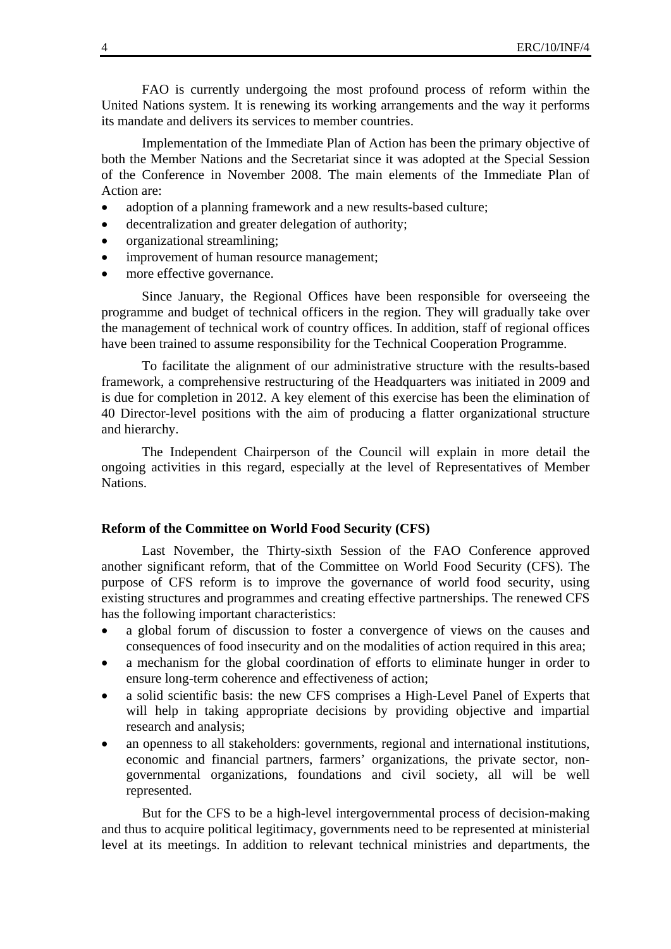FAO is currently undergoing the most profound process of reform within the United Nations system. It is renewing its working arrangements and the way it performs its mandate and delivers its services to member countries.

 Implementation of the Immediate Plan of Action has been the primary objective of both the Member Nations and the Secretariat since it was adopted at the Special Session of the Conference in November 2008. The main elements of the Immediate Plan of Action are:

- adoption of a planning framework and a new results-based culture;
- decentralization and greater delegation of authority;
- organizational streamlining;
- improvement of human resource management;
- more effective governance.

 Since January, the Regional Offices have been responsible for overseeing the programme and budget of technical officers in the region. They will gradually take over the management of technical work of country offices. In addition, staff of regional offices have been trained to assume responsibility for the Technical Cooperation Programme.

 To facilitate the alignment of our administrative structure with the results-based framework, a comprehensive restructuring of the Headquarters was initiated in 2009 and is due for completion in 2012. A key element of this exercise has been the elimination of 40 Director-level positions with the aim of producing a flatter organizational structure and hierarchy.

 The Independent Chairperson of the Council will explain in more detail the ongoing activities in this regard, especially at the level of Representatives of Member Nations.

### **Reform of the Committee on World Food Security (CFS)**

 Last November, the Thirty-sixth Session of the FAO Conference approved another significant reform, that of the Committee on World Food Security (CFS). The purpose of CFS reform is to improve the governance of world food security, using existing structures and programmes and creating effective partnerships. The renewed CFS has the following important characteristics:

- a global forum of discussion to foster a convergence of views on the causes and consequences of food insecurity and on the modalities of action required in this area;
- a mechanism for the global coordination of efforts to eliminate hunger in order to ensure long-term coherence and effectiveness of action;
- a solid scientific basis: the new CFS comprises a High-Level Panel of Experts that will help in taking appropriate decisions by providing objective and impartial research and analysis;
- an openness to all stakeholders: governments, regional and international institutions, economic and financial partners, farmers' organizations, the private sector, nongovernmental organizations, foundations and civil society, all will be well represented.

 But for the CFS to be a high-level intergovernmental process of decision-making and thus to acquire political legitimacy, governments need to be represented at ministerial level at its meetings. In addition to relevant technical ministries and departments, the